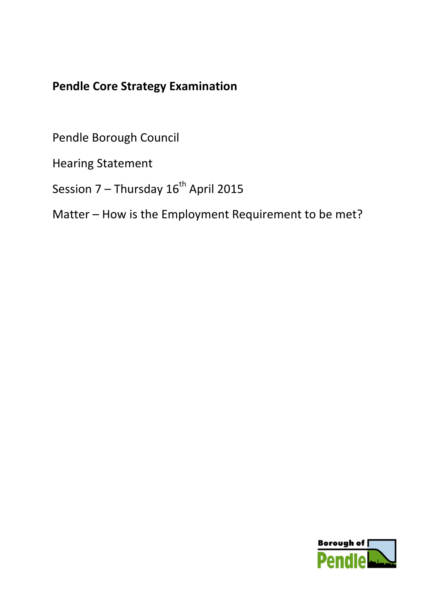# **Pendle Core Strategy Examination**

Pendle Borough Council

Hearing Statement

Session  $7$  – Thursday  $16^{th}$  April 2015

Matter – How is the Employment Requirement to be met?

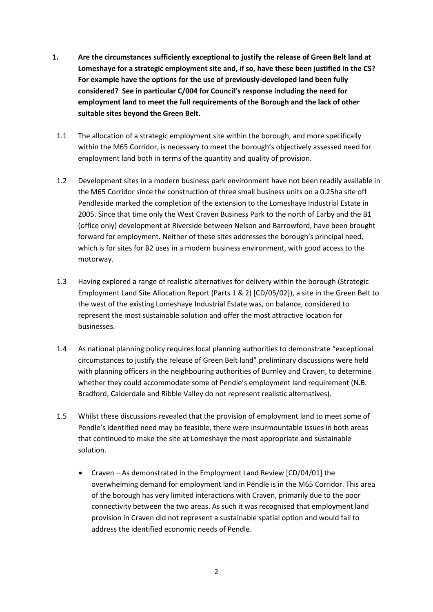- **1. Are the circumstances sufficiently exceptional to justify the release of Green Belt land at Lomeshaye for a strategic employment site and, if so, have these been justified in the CS? For example have the options for the use of previously-developed land been fully considered? See in particular C/004 for Council's response including the need for employment land to meet the full requirements of the Borough and the lack of other suitable sites beyond the Green Belt.**
	- 1.1 The allocation of a strategic employment site within the borough, and more specifically within the M65 Corridor, is necessary to meet the borough's objectively assessed need for employment land both in terms of the quantity and quality of provision.
	- 1.2 Development sites in a modern business park environment have not been readily available in the M65 Corridor since the construction of three small business units on a 0.25ha site off Pendleside marked the completion of the extension to the Lomeshaye Industrial Estate in 2005. Since that time only the West Craven Business Park to the north of Earby and the B1 (office only) development at Riverside between Nelson and Barrowford, have been brought forward for employment. Neither of these sites addresses the borough's principal need, which is for sites for B2 uses in a modern business environment, with good access to the motorway.
	- 1.3 Having explored a range of realistic alternatives for delivery within the borough (Strategic Employment Land Site Allocation Report (Parts 1 & 2) [CD/05/02]), a site in the Green Belt to the west of the existing Lomeshaye Industrial Estate was, on balance, considered to represent the most sustainable solution and offer the most attractive location for businesses.
	- 1.4 As national planning policy requires local planning authorities to demonstrate "exceptional circumstances to justify the release of Green Belt land" preliminary discussions were held with planning officers in the neighbouring authorities of Burnley and Craven, to determine whether they could accommodate some of Pendle's employment land requirement (N.B. Bradford, Calderdale and Ribble Valley do not represent realistic alternatives).
	- 1.5 Whilst these discussions revealed that the provision of employment land to meet some of Pendle's identified need may be feasible, there were insurmountable issues in both areas that continued to make the site at Lomeshaye the most appropriate and sustainable solution.
		- Craven As demonstrated in the Employment Land Review [CD/04/01] the overwhelming demand for employment land in Pendle is in the M65 Corridor. This area of the borough has very limited interactions with Craven, primarily due to the poor connectivity between the two areas. As such it was recognised that employment land provision in Craven did not represent a sustainable spatial option and would fail to address the identified economic needs of Pendle.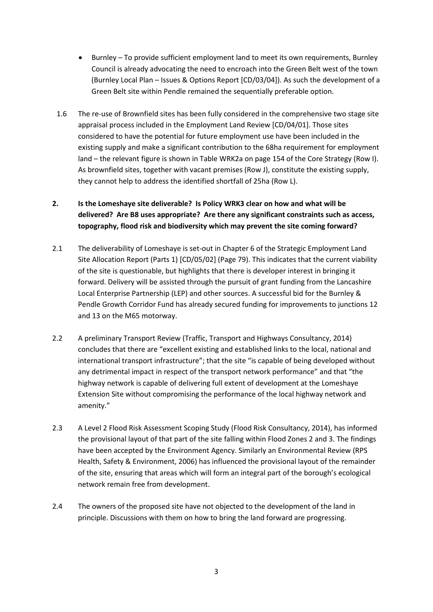- Burnley To provide sufficient employment land to meet its own requirements, Burnley Council is already advocating the need to encroach into the Green Belt west of the town (Burnley Local Plan – Issues & Options Report [CD/03/04]). As such the development of a Green Belt site within Pendle remained the sequentially preferable option.
- 1.6 The re-use of Brownfield sites has been fully considered in the comprehensive two stage site appraisal process included in the Employment Land Review [CD/04/01]. Those sites considered to have the potential for future employment use have been included in the existing supply and make a significant contribution to the 68ha requirement for employment land – the relevant figure is shown in Table WRK2a on page 154 of the Core Strategy (Row I). As brownfield sites, together with vacant premises (Row J), constitute the existing supply, they cannot help to address the identified shortfall of 25ha (Row L).

## **2. Is the Lomeshaye site deliverable? Is Policy WRK3 clear on how and what will be delivered? Are B8 uses appropriate? Are there any significant constraints such as access, topography, flood risk and biodiversity which may prevent the site coming forward?**

- 2.1 The deliverability of Lomeshaye is set-out in Chapter 6 of the Strategic Employment Land Site Allocation Report (Parts 1) [CD/05/02] (Page 79). This indicates that the current viability of the site is questionable, but highlights that there is developer interest in bringing it forward. Delivery will be assisted through the pursuit of grant funding from the Lancashire Local Enterprise Partnership (LEP) and other sources. A successful bid for the Burnley & Pendle Growth Corridor Fund has already secured funding for improvements to junctions 12 and 13 on the M65 motorway.
- 2.2 A preliminary Transport Review (Traffic, Transport and Highways Consultancy, 2014) concludes that there are "excellent existing and established links to the local, national and international transport infrastructure"; that the site "is capable of being developed without any detrimental impact in respect of the transport network performance" and that "the highway network is capable of delivering full extent of development at the Lomeshaye Extension Site without compromising the performance of the local highway network and amenity."
- 2.3 A Level 2 Flood Risk Assessment Scoping Study (Flood Risk Consultancy, 2014), has informed the provisional layout of that part of the site falling within Flood Zones 2 and 3. The findings have been accepted by the Environment Agency. Similarly an Environmental Review (RPS Health, Safety & Environment, 2006) has influenced the provisional layout of the remainder of the site, ensuring that areas which will form an integral part of the borough's ecological network remain free from development.
- 2.4 The owners of the proposed site have not objected to the development of the land in principle. Discussions with them on how to bring the land forward are progressing.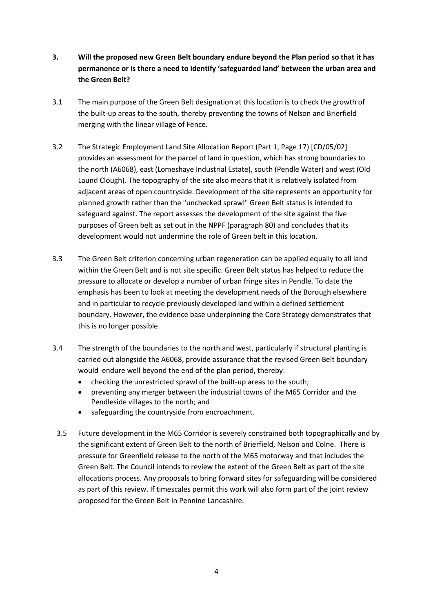- **3. Will the proposed new Green Belt boundary endure beyond the Plan period so that it has permanence or is there a need to identify 'safeguarded land' between the urban area and the Green Belt?**
- 3.1 The main purpose of the Green Belt designation at this location is to check the growth of the built-up areas to the south, thereby preventing the towns of Nelson and Brierfield merging with the linear village of Fence.
- 3.2 The Strategic Employment Land Site Allocation Report (Part 1, Page 17) [CD/05/02] provides an assessment for the parcel of land in question, which has strong boundaries to the north (A6068), east (Lomeshaye Industrial Estate), south (Pendle Water) and west (Old Laund Clough). The topography of the site also means that it is relatively isolated from adjacent areas of open countryside. Development of the site represents an opportunity for planned growth rather than the "unchecked sprawl" Green Belt status is intended to safeguard against. The report assesses the development of the site against the five purposes of Green belt as set out in the NPPF (paragraph 80) and concludes that its development would not undermine the role of Green belt in this location.
- 3.3 The Green Belt criterion concerning urban regeneration can be applied equally to all land within the Green Belt and is not site specific. Green Belt status has helped to reduce the pressure to allocate or develop a number of urban fringe sites in Pendle. To date the emphasis has been to look at meeting the development needs of the Borough elsewhere and in particular to recycle previously developed land within a defined settlement boundary. However, the evidence base underpinning the Core Strategy demonstrates that this is no longer possible.
- 3.4 The strength of the boundaries to the north and west, particularly if structural planting is carried out alongside the A6068, provide assurance that the revised Green Belt boundary would endure well beyond the end of the plan period, thereby:
	- checking the unrestricted sprawl of the built-up areas to the south;
	- preventing any merger between the industrial towns of the M65 Corridor and the Pendleside villages to the north; and
	- safeguarding the countryside from encroachment.
	- 3.5 Future development in the M65 Corridor is severely constrained both topographically and by the significant extent of Green Belt to the north of Brierfield, Nelson and Colne. There is pressure for Greenfield release to the north of the M65 motorway and that includes the Green Belt. The Council intends to review the extent of the Green Belt as part of the site allocations process. Any proposals to bring forward sites for safeguarding will be considered as part of this review. If timescales permit this work will also form part of the joint review proposed for the Green Belt in Pennine Lancashire.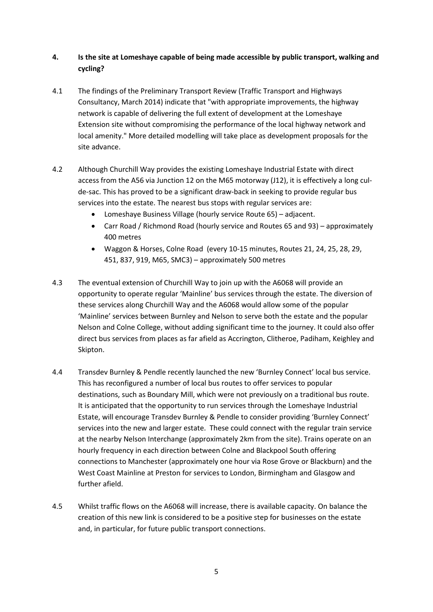### **4. Is the site at Lomeshaye capable of being made accessible by public transport, walking and cycling?**

- 4.1 The findings of the Preliminary Transport Review (Traffic Transport and Highways Consultancy, March 2014) indicate that "with appropriate improvements, the highway network is capable of delivering the full extent of development at the Lomeshaye Extension site without compromising the performance of the local highway network and local amenity." More detailed modelling will take place as development proposals for the site advance.
- 4.2 Although Churchill Way provides the existing Lomeshaye Industrial Estate with direct access from the A56 via Junction 12 on the M65 motorway (J12), it is effectively a long culde-sac. This has proved to be a significant draw-back in seeking to provide regular bus services into the estate. The nearest bus stops with regular services are:
	- Lomeshaye Business Village (hourly service Route 65) adjacent.
	- Carr Road / Richmond Road (hourly service and Routes 65 and 93) approximately 400 metres
	- Waggon & Horses, Colne Road (every 10-15 minutes, Routes 21, 24, 25, 28, 29, 451, 837, 919, M65, SMC3) – approximately 500 metres
- 4.3 The eventual extension of Churchill Way to join up with the A6068 will provide an opportunity to operate regular 'Mainline' bus services through the estate. The diversion of these services along Churchill Way and the A6068 would allow some of the popular 'Mainline' services between Burnley and Nelson to serve both the estate and the popular Nelson and Colne College, without adding significant time to the journey. It could also offer direct bus services from places as far afield as Accrington, Clitheroe, Padiham, Keighley and Skipton.
- 4.4 Transdev Burnley & Pendle recently launched the new 'Burnley Connect' local bus service. This has reconfigured a number of local bus routes to offer services to popular destinations, such as Boundary Mill, which were not previously on a traditional bus route. It is anticipated that the opportunity to run services through the Lomeshaye Industrial Estate, will encourage Transdev Burnley & Pendle to consider providing 'Burnley Connect' services into the new and larger estate. These could connect with the regular train service at the nearby Nelson Interchange (approximately 2km from the site). Trains operate on an hourly frequency in each direction between Colne and Blackpool South offering connections to Manchester (approximately one hour via Rose Grove or Blackburn) and the West Coast Mainline at Preston for services to London, Birmingham and Glasgow and further afield.
- 4.5 Whilst traffic flows on the A6068 will increase, there is available capacity. On balance the creation of this new link is considered to be a positive step for businesses on the estate and, in particular, for future public transport connections.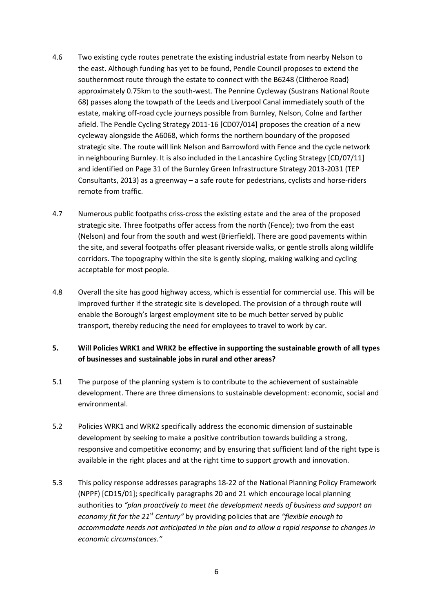- 4.6 Two existing cycle routes penetrate the existing industrial estate from nearby Nelson to the east. Although funding has yet to be found, Pendle Council proposes to extend the southernmost route through the estate to connect with the B6248 (Clitheroe Road) approximately 0.75km to the south-west. The Pennine Cycleway (Sustrans National Route 68) passes along the towpath of the Leeds and Liverpool Canal immediately south of the estate, making off-road cycle journeys possible from Burnley, Nelson, Colne and farther afield. The Pendle Cycling Strategy 2011-16 [CD07/014] proposes the creation of a new cycleway alongside the A6068, which forms the northern boundary of the proposed strategic site. The route will link Nelson and Barrowford with Fence and the cycle network in neighbouring Burnley. It is also included in the Lancashire Cycling Strategy [CD/07/11] and identified on Page 31 of the Burnley Green Infrastructure Strategy 2013-2031 (TEP Consultants, 2013) as a greenway – a safe route for pedestrians, cyclists and horse-riders remote from traffic.
- 4.7 Numerous public footpaths criss-cross the existing estate and the area of the proposed strategic site. Three footpaths offer access from the north (Fence); two from the east (Nelson) and four from the south and west (Brierfield). There are good pavements within the site, and several footpaths offer pleasant riverside walks, or gentle strolls along wildlife corridors. The topography within the site is gently sloping, making walking and cycling acceptable for most people.
- 4.8 Overall the site has good highway access, which is essential for commercial use. This will be improved further if the strategic site is developed. The provision of a through route will enable the Borough's largest employment site to be much better served by public transport, thereby reducing the need for employees to travel to work by car.

#### **5. Will Policies WRK1 and WRK2 be effective in supporting the sustainable growth of all types of businesses and sustainable jobs in rural and other areas?**

- 5.1 The purpose of the planning system is to contribute to the achievement of sustainable development. There are three dimensions to sustainable development: economic, social and environmental.
- 5.2 Policies WRK1 and WRK2 specifically address the economic dimension of sustainable development by seeking to make a positive contribution towards building a strong, responsive and competitive economy; and by ensuring that sufficient land of the right type is available in the right places and at the right time to support growth and innovation.
- 5.3 This policy response addresses paragraphs 18-22 of the National Planning Policy Framework (NPPF) [CD15/01]; specifically paragraphs 20 and 21 which encourage local planning authorities to *"plan proactively to meet the development needs of business and support an economy fit for the 21st Century"* by providing policies that are *"flexible enough to accommodate needs not anticipated in the plan and to allow a rapid response to changes in economic circumstances."*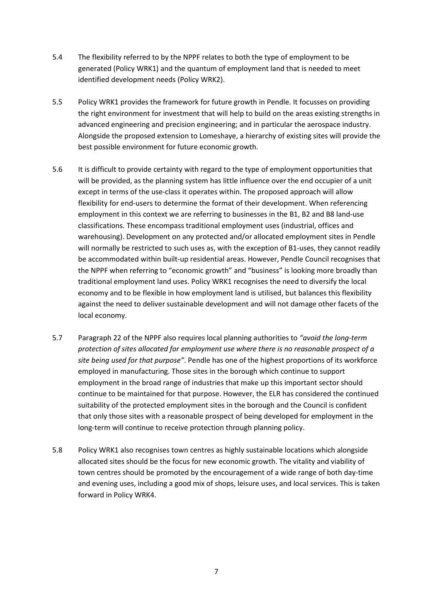- 5.4 The flexibility referred to by the NPPF relates to both the type of employment to be generated (Policy WRK1) and the quantum of employment land that is needed to meet identified development needs (Policy WRK2).
- 5.5 Policy WRK1 provides the framework for future growth in Pendle. It focusses on providing the right environment for investment that will help to build on the areas existing strengths in advanced engineering and precision engineering; and in particular the aerospace industry. Alongside the proposed extension to Lomeshaye, a hierarchy of existing sites will provide the best possible environment for future economic growth.
- 5.6 It is difficult to provide certainty with regard to the type of employment opportunities that will be provided, as the planning system has little influence over the end occupier of a unit except in terms of the use-class it operates within. The proposed approach will allow flexibility for end-users to determine the format of their development. When referencing employment in this context we are referring to businesses in the B1, B2 and B8 land-use classifications. These encompass traditional employment uses (industrial, offices and warehousing). Development on any protected and/or allocated employment sites in Pendle will normally be restricted to such uses as, with the exception of B1-uses, they cannot readily be accommodated within built-up residential areas. However, Pendle Council recognises that the NPPF when referring to "economic growth" and "business" is looking more broadly than traditional employment land uses. Policy WRK1 recognises the need to diversify the local economy and to be flexible in how employment land is utilised, but balances this flexibility against the need to deliver sustainable development and will not damage other facets of the local economy.
- 5.7 Paragraph 22 of the NPPF also requires local planning authorities to *"avoid the long-term protection of sites allocated for employment use where there is no reasonable prospect of a site being used for that purpose"*. Pendle has one of the highest proportions of its workforce employed in manufacturing. Those sites in the borough which continue to support employment in the broad range of industries that make up this important sector should continue to be maintained for that purpose. However, the ELR has considered the continued suitability of the protected employment sites in the borough and the Council is confident that only those sites with a reasonable prospect of being developed for employment in the long-term will continue to receive protection through planning policy.
- 5.8 Policy WRK1 also recognises town centres as highly sustainable locations which alongside allocated sites should be the focus for new economic growth. The vitality and viability of town centres should be promoted by the encouragement of a wide range of both day-time and evening uses, including a good mix of shops, leisure uses, and local services. This is taken forward in Policy WRK4.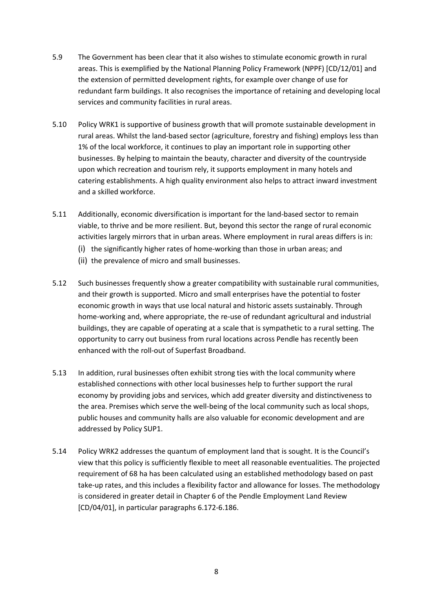- 5.9 The Government has been clear that it also wishes to stimulate economic growth in rural areas. This is exemplified by the National Planning Policy Framework (NPPF) [CD/12/01] and the extension of permitted development rights, for example over change of use for redundant farm buildings. It also recognises the importance of retaining and developing local services and community facilities in rural areas.
- 5.10 Policy WRK1 is supportive of business growth that will promote sustainable development in rural areas. Whilst the land-based sector (agriculture, forestry and fishing) employs less than 1% of the local workforce, it continues to play an important role in supporting other businesses. By helping to maintain the beauty, character and diversity of the countryside upon which recreation and tourism rely, it supports employment in many hotels and catering establishments. A high quality environment also helps to attract inward investment and a skilled workforce.
- 5.11 Additionally, economic diversification is important for the land-based sector to remain viable, to thrive and be more resilient. But, beyond this sector the range of rural economic activities largely mirrors that in urban areas. Where employment in rural areas differs is in:
	- (i) the significantly higher rates of home-working than those in urban areas; and
	- (ii) the prevalence of micro and small businesses.
- 5.12 Such businesses frequently show a greater compatibility with sustainable rural communities, and their growth is supported. Micro and small enterprises have the potential to foster economic growth in ways that use local natural and historic assets sustainably. Through home-working and, where appropriate, the re-use of redundant agricultural and industrial buildings, they are capable of operating at a scale that is sympathetic to a rural setting. The opportunity to carry out business from rural locations across Pendle has recently been enhanced with the roll-out of Superfast Broadband.
- 5.13 In addition, rural businesses often exhibit strong ties with the local community where established connections with other local businesses help to further support the rural economy by providing jobs and services, which add greater diversity and distinctiveness to the area. Premises which serve the well-being of the local community such as local shops, public houses and community halls are also valuable for economic development and are addressed by Policy SUP1.
- 5.14 Policy WRK2 addresses the quantum of employment land that is sought. It is the Council's view that this policy is sufficiently flexible to meet all reasonable eventualities. The projected requirement of 68 ha has been calculated using an established methodology based on past take-up rates, and this includes a flexibility factor and allowance for losses. The methodology is considered in greater detail in Chapter 6 of the Pendle Employment Land Review [CD/04/01], in particular paragraphs 6.172-6.186.